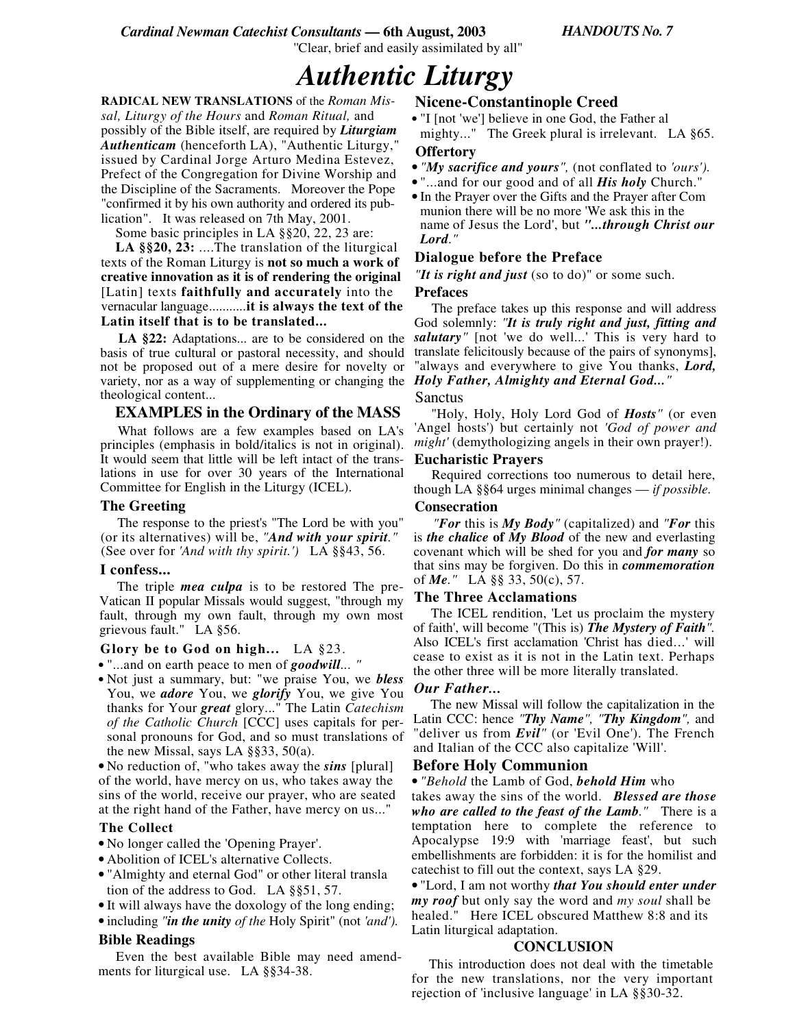''Clear, brief and easily assimilated by all"

# *Authentic Liturgy*

**RADICAL NEW TRANSLATIONS** of the *Roman Missal, Liturgy of the Hours* and *Roman Ritual,* and possibly of the Bible itself, are required by *Liturgiam Authenticam* (henceforth LA), "Authentic Liturgy," issued by Cardinal Jorge Arturo Medina Estevez, Prefect of the Congregation for Divine Worship and the Discipline of the Sacraments. Moreover the Pope "confirmed it by his own authority and ordered its publication". It was released on 7th May, 2001.

Some basic principles in LA §§20, 22, 23 are:

**LA §§20, 23:** ....The translation of the liturgical texts of the Roman Liturgy is **not so much a work of creative innovation as it is of rendering the original** [Latin] texts **faithfully and accurately** into the vernacular language...........**it is always the text of the Latin itself that is to be translated...**

**LA §22:** Adaptations... are to be considered on the basis of true cultural or pastoral necessity, and should not be proposed out of a mere desire for novelty or variety, nor as a way of supplementing or changing the theological content...

## **EXAMPLES in the Ordinary of the MASS**

What follows are a few examples based on LA's principles (emphasis in bold/italics is not in original). It would seem that little will be left intact of the translations in use for over 30 years of the International Committee for English in the Liturgy (ICEL).

### **The Greeting**

The response to the priest's "The Lord be with you" (or its alternatives) will be, *"And with your spirit."* (See over for *'And with thy spirit.')* LA §§43, 56.

### **I confess...**

The triple *mea culpa* is to be restored The pre-Vatican II popular Missals would suggest, "through my fault, through my own fault, through my own most grievous fault." LA §56.

#### **Glory be to God on high...** LA §23.

• "...and on earth peace to men of *goodwill... "*

• Not just a summary, but: "we praise You, we *bless* You, we *adore* You, we *glorify* You, we give You thanks for Your *great* glory..." The Latin *Catechism of the Catholic Church* [CCC] uses capitals for personal pronouns for God, and so must translations of the new Missal, says LA  $\S$ §33, 50(a).

• No reduction of, "who takes away the *sins* [plural] of the world, have mercy on us, who takes away the sins of the world, receive our prayer, who are seated at the right hand of the Father, have mercy on us..."

### **The Collect**

• No longer called the 'Opening Prayer'.

- Abolition of ICEL's alternative Collects.
- "Almighty and eternal God" or other literal transla tion of the address to God. LA §§51, 57.
- It will always have the doxology of the long ending;
- including *"in the unity of the* Holy Spirit" (not *'and').*

### **Bible Readings**

Even the best available Bible may need amendments for liturgical use. LA §§34-38.

# **Nicene-Constantinople Creed**

• "I [not 'we'] believe in one God, the Father al mighty..." The Greek plural is irrelevant. LA §65. **Offertory**

- *"My sacrifice and yours",* (not conflated to *'ours').*
- "...and for our good and of all *His holy* Church."
- In the Prayer over the Gifts and the Prayer after Com munion there will be no more 'We ask this in the name of Jesus the Lord', but *"...through Christ our Lord."*

### **Dialogue before the Preface**

*"It is right and just* (so to do)" or some such.

#### **Prefaces**

The preface takes up this response and will address God solemnly: *"It is truly right and just, fitting and salutary"* [not 'we do well...' This is very hard to translate felicitously because of the pairs of synonyms], "always and everywhere to give You thanks, *Lord, Holy Father, Almighty and Eternal God..."*

#### Sanctus

"Holy, Holy, Holy Lord God of *Hosts"* (or even 'Angel hosts') but certainly not *'God of power and might'* (demythologizing angels in their own prayer!).

#### **Eucharistic Prayers**

Required corrections too numerous to detail here, though LA §§64 urges minimal changes — *if possible.*

#### **Consecration**

*"For* this is *My Body"* (capitalized) and *"For* this is *the chalice* **of** *My Blood* of the new and everlasting covenant which will be shed for you and *for many* so that sins may be forgiven. Do this in *commemoration* of *Me."* LA §§ 33, 50(c), 57.

#### **The Three Acclamations**

The ICEL rendition, 'Let us proclaim the mystery of faith', will become "(This is) *The Mystery of Faith".* Also ICEL's first acclamation 'Christ has died...' will cease to exist as it is not in the Latin text. Perhaps the other three will be more literally translated.

#### *Our Father...*

The new Missal will follow the capitalization in the Latin CCC: hence *"Thy Name", "Thy Kingdom",* and "deliver us from *Evil"* (or 'Evil One'). The French and Italian of the CCC also capitalize 'Will'.

### **Before Holy Communion**

• *"Behold* the Lamb of God, *behold Him* who

takes away the sins of the world. *Blessed are those who are called to the feast of the Lamb."* There is a temptation here to complete the reference to Apocalypse 19:9 with 'marriage feast', but such embellishments are forbidden: it is for the homilist and catechist to fill out the context, says LA §29.

• "Lord, I am not worthy *that You should enter under my roof* but only say the word and *my soul* shall be healed." Here ICEL obscured Matthew 8:8 and its Latin liturgical adaptation.

### **CONCLUSION**

This introduction does not deal with the timetable for the new translations, nor the very important rejection of 'inclusive language' in LA §§30-32.